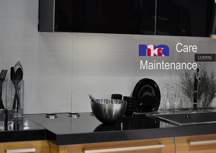